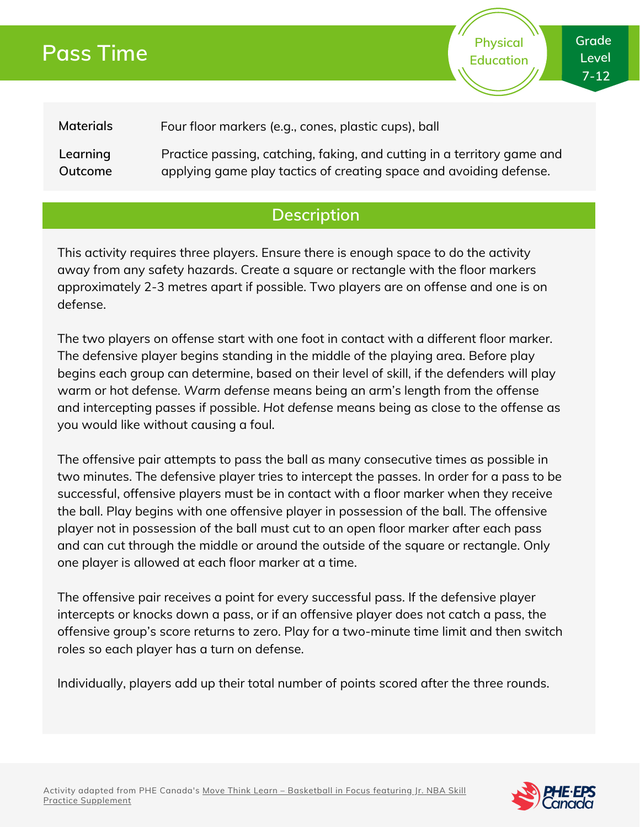# **Pass Time**

**Grade Level 7-12**

**Physical Education**

**Materials** Four floor markers (e.g., cones, plastic cups), ball

**Learning Outcome** Practice passing, catching, faking, and cutting in a territory game and applying game play tactics of creating space and avoiding defense.

## **Description**

This activity requires three players. Ensure there is enough space to do the activity away from any safety hazards. Create a square or rectangle with the floor markers approximately 2-3 metres apart if possible. Two players are on offense and one is on defense.

The two players on offense start with one foot in contact with a different floor marker. The defensive player begins standing in the middle of the playing area. Before play begins each group can determine, based on their level of skill, if the defenders will play warm or hot defense. *Warm defense* means being an arm's length from the offense and intercepting passes if possible. *Hot defense* means being as close to the offense as you would like without causing a foul.

The offensive pair attempts to pass the ball as many consecutive times as possible in two minutes. The defensive player tries to intercept the passes. In order for a pass to be successful, offensive players must be in contact with a floor marker when they receive the ball. Play begins with one offensive player in possession of the ball. The offensive player not in possession of the ball must cut to an open floor marker after each pass and can cut through the middle or around the outside of the square or rectangle. Only one player is allowed at each floor marker at a time.

The offensive pair receives a point for every successful pass. If the defensive player intercepts or knocks down a pass, or if an offensive player does not catch a pass, the offensive group's score returns to zero. Play for a two-minute time limit and then switch roles so each player has a turn on defense.

Individually, players add up their total number of points scored after the three rounds.